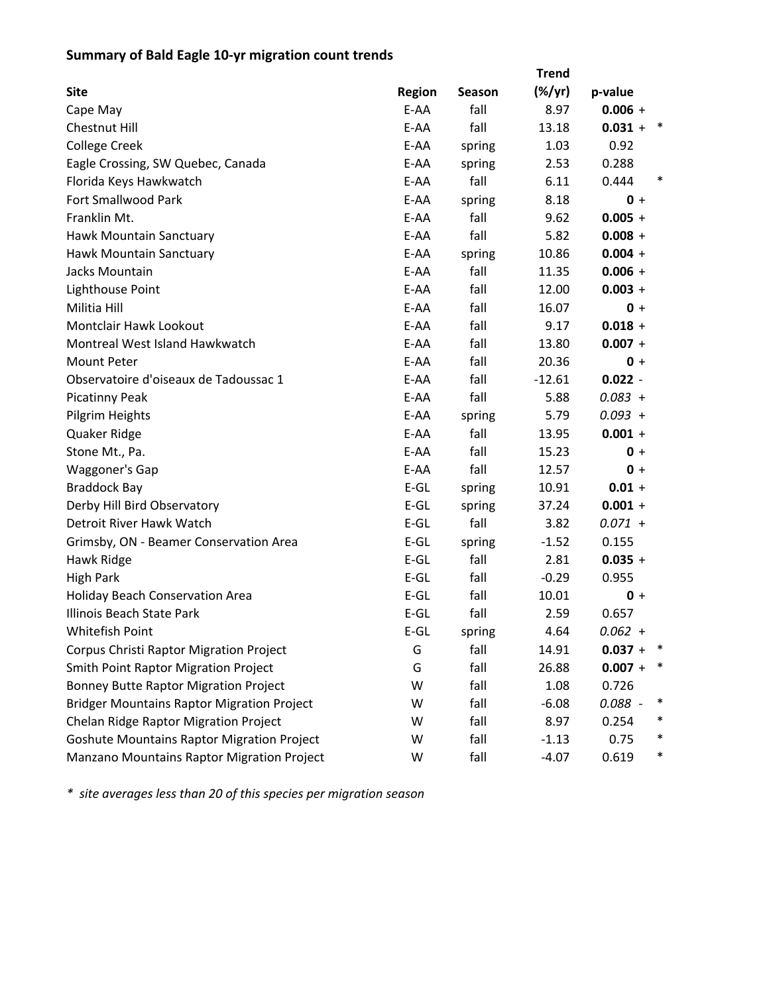## **Summary of Bald Eagle 10‐yr migration count trends**

|                                                   |               |        | <b>Trend</b>    |           |        |
|---------------------------------------------------|---------------|--------|-----------------|-----------|--------|
| <b>Site</b>                                       | <b>Region</b> | Season | $(\frac{9}{7})$ | p-value   |        |
| Cape May                                          | E-AA          | fall   | 8.97            | $0.006 +$ |        |
| <b>Chestnut Hill</b>                              | E-AA          | fall   | 13.18           | $0.031 +$ | $\ast$ |
| <b>College Creek</b>                              | E-AA          | spring | 1.03            | 0.92      |        |
| Eagle Crossing, SW Quebec, Canada                 | E-AA          | spring | 2.53            | 0.288     |        |
| Florida Keys Hawkwatch                            | E-AA          | fall   | 6.11            | 0.444     | $\ast$ |
| <b>Fort Smallwood Park</b>                        | E-AA          | spring | 8.18            | $0 +$     |        |
| Franklin Mt.                                      | E-AA          | fall   | 9.62            | $0.005 +$ |        |
| Hawk Mountain Sanctuary                           | E-AA          | fall   | 5.82            | $0.008 +$ |        |
| Hawk Mountain Sanctuary                           | E-AA          | spring | 10.86           | $0.004 +$ |        |
| Jacks Mountain                                    | E-AA          | fall   | 11.35           | $0.006 +$ |        |
| Lighthouse Point                                  | E-AA          | fall   | 12.00           | $0.003 +$ |        |
| Militia Hill                                      | E-AA          | fall   | 16.07           | $0 +$     |        |
| <b>Montclair Hawk Lookout</b>                     | E-AA          | fall   | 9.17            | $0.018 +$ |        |
| Montreal West Island Hawkwatch                    | E-AA          | fall   | 13.80           | $0.007 +$ |        |
| <b>Mount Peter</b>                                | E-AA          | fall   | 20.36           | $0 +$     |        |
| Observatoire d'oiseaux de Tadoussac 1             | E-AA          | fall   | $-12.61$        | $0.022 -$ |        |
| <b>Picatinny Peak</b>                             | E-AA          | fall   | 5.88            | $0.083 +$ |        |
| Pilgrim Heights                                   | E-AA          | spring | 5.79            | $0.093 +$ |        |
| Quaker Ridge                                      | E-AA          | fall   | 13.95           | $0.001 +$ |        |
| Stone Mt., Pa.                                    | E-AA          | fall   | 15.23           | $0 +$     |        |
| Waggoner's Gap                                    | E-AA          | fall   | 12.57           | $0 +$     |        |
| <b>Braddock Bay</b>                               | $E-GL$        | spring | 10.91           | $0.01 +$  |        |
| Derby Hill Bird Observatory                       | $E-GL$        | spring | 37.24           | $0.001 +$ |        |
| Detroit River Hawk Watch                          | $E-GL$        | fall   | 3.82            | $0.071 +$ |        |
| Grimsby, ON - Beamer Conservation Area            | $E-GL$        | spring | $-1.52$         | 0.155     |        |
| Hawk Ridge                                        | $E-GL$        | fall   | 2.81            | $0.035 +$ |        |
| <b>High Park</b>                                  | $E-GL$        | fall   | $-0.29$         | 0.955     |        |
| <b>Holiday Beach Conservation Area</b>            | $E-GL$        | fall   | 10.01           | $0 +$     |        |
| Illinois Beach State Park                         | $E-GL$        | fall   | 2.59            | 0.657     |        |
| Whitefish Point                                   | $E$ -GL       | spring | 4.64            | $0.062 +$ |        |
| Corpus Christi Raptor Migration Project           | G             | fall   | 14.91           | $0.037 +$ |        |
| <b>Smith Point Raptor Migration Project</b>       | G             | fall   | 26.88           | $0.007 +$ | ∗      |
| <b>Bonney Butte Raptor Migration Project</b>      | W             | fall   | 1.08            | 0.726     |        |
| <b>Bridger Mountains Raptor Migration Project</b> | W             | fall   | $-6.08$         | $0.088 -$ | ∗      |
| Chelan Ridge Raptor Migration Project             | W             | fall   | 8.97            | 0.254     | $\ast$ |
| <b>Goshute Mountains Raptor Migration Project</b> | W             | fall   | $-1.13$         | 0.75      | ∗      |
| Manzano Mountains Raptor Migration Project        | W             | fall   | $-4.07$         | 0.619     | $\ast$ |

*\* site averages less than 20 of this species per migration season*